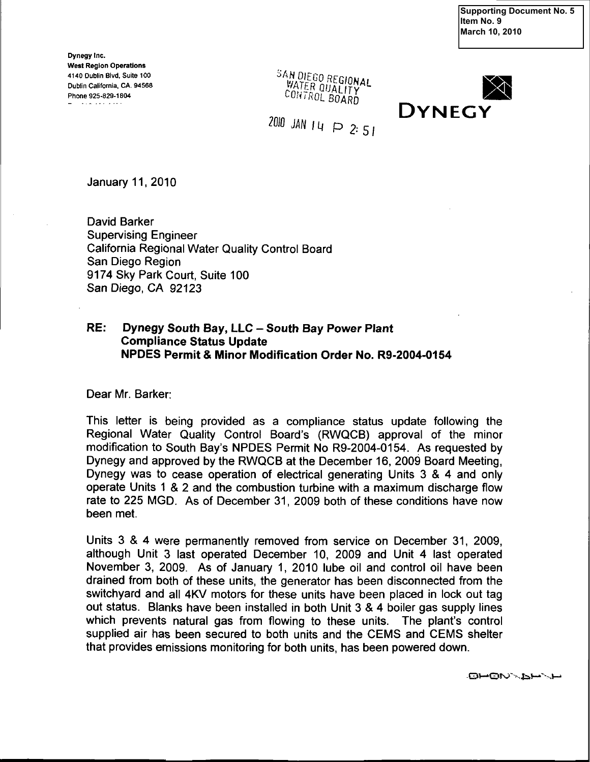**Supporting Document No. 5 Item No. 9 March 10, 2010** 

Dynegy Inc. West Region Operations 4140 Dublin Blvd, Suite 100  $\frac{3AMDIEGOREGOMAL}{WATEDOREGOMAL}$ Phone 925-829-1804

CONTROL BOARD



 $2010$  JAN  $14$   $\cap$  2:51

January 11, 2010

David Barker Supervising Engineer California Regional Water Quality Control Board San Diego Region 9174 Sky Park Court. Suite 100 San Diego, CA 92123

## RE: Dynegy South Bay, LLC - South Bay Power Plant Compliance Status Update NPDES Permit & Minor Modification Order No. R9-2004-0154

Dear Mr. Barker:

This letter is being provided as a compliance status update following the Regional Water Quality Control Board's (RWQCB) approval of the minor modification to South Bay's NPDES Permit No R9-2004-0154. As requested by Dynegy and approved by the RWQCB at the December 16, 2009 Board Meeting, Dynegy was to cease operation of electrical generating Units 3 & 4 and only operate Units 1 & 2 and the combustion turbine with a maximum discharge flow rate to 225 MGD. As of December 31, 2009 both of these conditions have now been met.

Units 3 & 4 were permanently removed from service on December 31, 2009, although Unit 3 last operated December 10, 2009 and Unit 4 last operated November 3, 2009. As of January 1, 2010 lube oil and control oil have been drained from both of these units, the generator has been disconnected from the switchyard and all 4KV motors for these units have been placed in lock out tag out status. Blanks have been installed in both Unit 3 & 4 boiler gas supply lines which prevents natural gas from flowing to these units. The plant's control supplied air has been secured to both units and the CEMS and CEMS shelter that provides emissions monitoring for both units, has been powered down.

-Gn-'Oro^Nfei-\*'